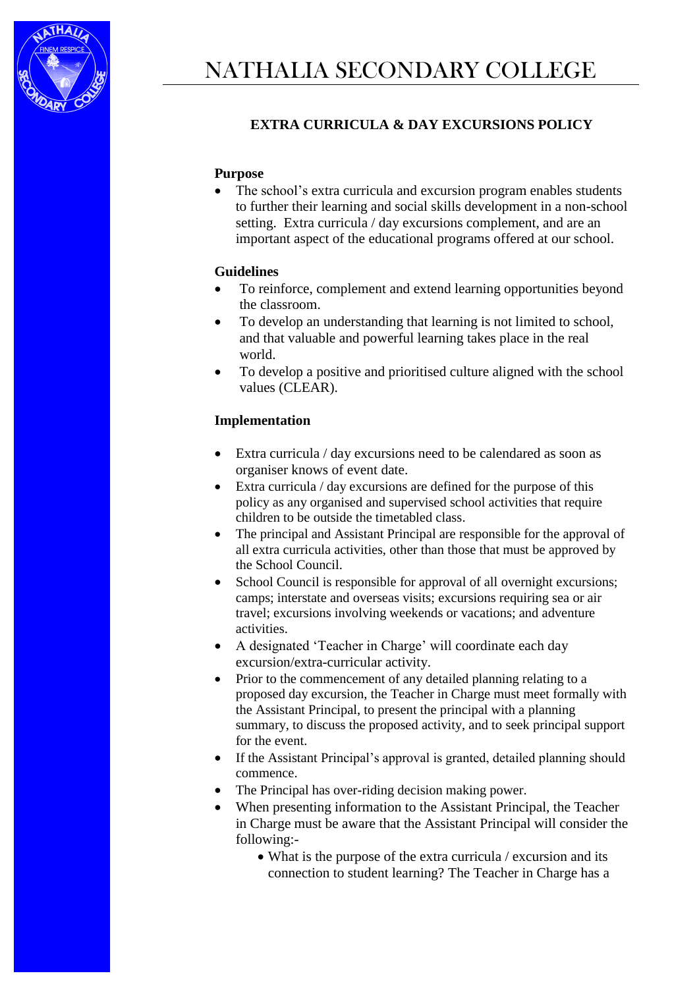

## **EXTRA CURRICULA & DAY EXCURSIONS POLICY**

### **Purpose**

• The school's extra curricula and excursion program enables students to further their learning and social skills development in a non-school setting. Extra curricula / day excursions complement, and are an important aspect of the educational programs offered at our school.

#### **Guidelines**

- To reinforce, complement and extend learning opportunities beyond the classroom.
- To develop an understanding that learning is not limited to school, and that valuable and powerful learning takes place in the real world.
- To develop a positive and prioritised culture aligned with the school values (CLEAR).

#### **Implementation**

- Extra curricula / day excursions need to be calendared as soon as organiser knows of event date.
- Extra curricula / day excursions are defined for the purpose of this policy as any organised and supervised school activities that require children to be outside the timetabled class.
- The principal and Assistant Principal are responsible for the approval of all extra curricula activities, other than those that must be approved by the School Council.
- School Council is responsible for approval of all overnight excursions; camps; interstate and overseas visits; excursions requiring sea or air travel; excursions involving weekends or vacations; and adventure activities.
- A designated 'Teacher in Charge' will coordinate each day excursion/extra-curricular activity.
- Prior to the commencement of any detailed planning relating to a proposed day excursion, the Teacher in Charge must meet formally with the Assistant Principal, to present the principal with a [planning](http://www.eduweb.vic.gov.au/edulibrary/public/schadmin/schops/edoutdoors/planningsummary.doc)  [summary,](http://www.eduweb.vic.gov.au/edulibrary/public/schadmin/schops/edoutdoors/planningsummary.doc) to discuss the proposed activity, and to seek principal support for the event.
- If the Assistant Principal's approval is granted, detailed planning should commence.
- The Principal has over-riding decision making power.
- When presenting information to the Assistant Principal, the Teacher in Charge must be aware that the Assistant Principal will consider the following:-
	- What is the purpose of the extra curricula / excursion and its connection to student learning? The Teacher in Charge has a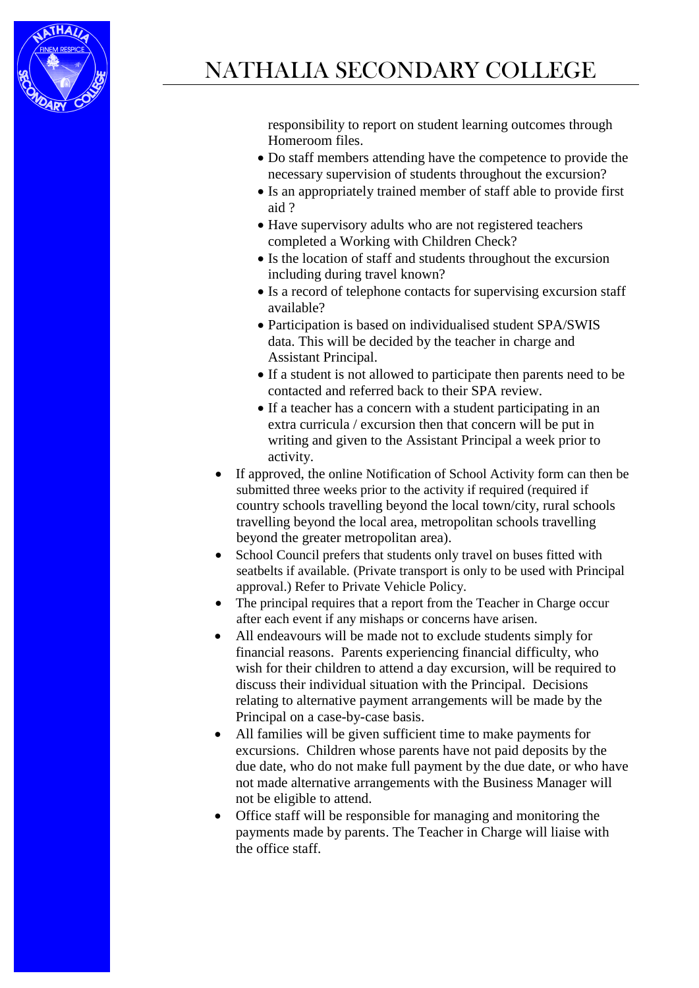

# NATHALIA SECONDARY COLLEGE

responsibility to report on student learning outcomes through Homeroom files.

- Do staff members attending have the competence to provide the necessary supervision of students throughout the excursion?
- Is an appropriately trained member of staff able to provide [first](http://www.education.vic.gov.au/management/schooloperations/edoutdoors/resources/firstaid.htm)  [aid](http://www.education.vic.gov.au/management/schooloperations/edoutdoors/resources/firstaid.htm) ?
- Have supervisory adults who are not registered teachers completed a Working with Children Check?
- Is the location of staff and students throughout the excursion including during travel known?
- Is a record of telephone contacts for supervising excursion staff available?
- Participation is based on individualised student SPA/SWIS data. This will be decided by the teacher in charge and Assistant Principal.
- If a student is not allowed to participate then parents need to be contacted and referred back to their SPA review.
- If a teacher has a concern with a student participating in an extra curricula / excursion then that concern will be put in writing and given to the Assistant Principal a week prior to activity.
- If approved, the online [Notification of School Activity](http://www.eduweb.vic.gov.au/forms/school/sal/enteractivity.asp) form can then be submitted three weeks prior to the activity if required (required if country schools travelling beyond the local town/city, rural schools travelling beyond the local area, metropolitan schools travelling beyond the greater metropolitan area).
- School Council prefers that students only travel on buses fitted with seatbelts if available. (Private transport is only to be used with Principal approval.) Refer to Private Vehicle Policy.
- The principal requires that a report from the Teacher in Charge occur after each event if any mishaps or concerns have arisen.
- All endeavours will be made not to exclude students simply for financial reasons. Parents experiencing financial difficulty, who wish for their children to attend a day excursion, will be required to discuss their individual situation with the Principal. Decisions relating to alternative payment arrangements will be made by the Principal on a case-by-case basis.
- All families will be given sufficient time to make payments for excursions. Children whose parents have not paid deposits by the due date, who do not make full payment by the due date, or who have not made alternative arrangements with the Business Manager will not be eligible to attend.
- Office staff will be responsible for managing and monitoring the payments made by parents. The Teacher in Charge will liaise with the office staff.